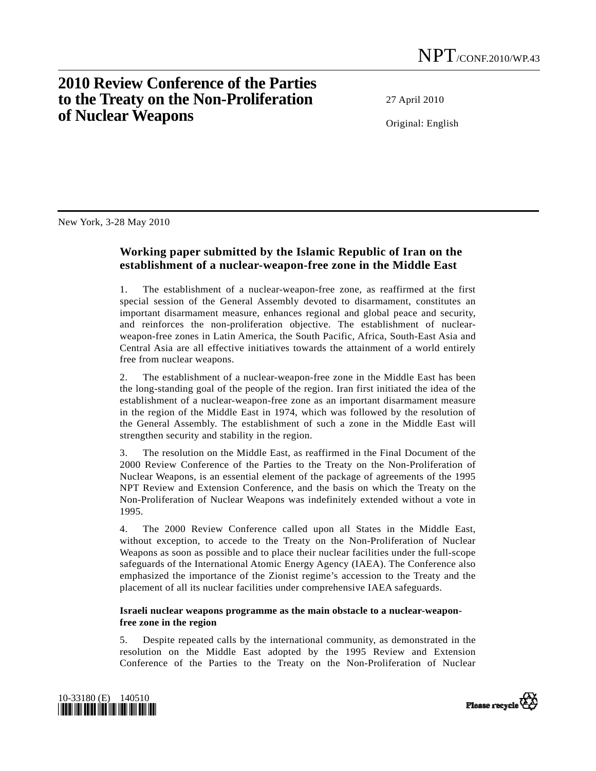## **2010 Review Conference of the Parties to the Treaty on the Non-Proliferation of Nuclear Weapons**

27 April 2010

Original: English

New York, 3-28 May 2010

## **Working paper submitted by the Islamic Republic of Iran on the establishment of a nuclear-weapon-free zone in the Middle East**

1. The establishment of a nuclear-weapon-free zone, as reaffirmed at the first special session of the General Assembly devoted to disarmament, constitutes an important disarmament measure, enhances regional and global peace and security, and reinforces the non-proliferation objective. The establishment of nuclearweapon-free zones in Latin America, the South Pacific, Africa, South-East Asia and Central Asia are all effective initiatives towards the attainment of a world entirely free from nuclear weapons.

2. The establishment of a nuclear-weapon-free zone in the Middle East has been the long-standing goal of the people of the region. Iran first initiated the idea of the establishment of a nuclear-weapon-free zone as an important disarmament measure in the region of the Middle East in 1974, which was followed by the resolution of the General Assembly. The establishment of such a zone in the Middle East will strengthen security and stability in the region.

3. The resolution on the Middle East, as reaffirmed in the Final Document of the 2000 Review Conference of the Parties to the Treaty on the Non-Proliferation of Nuclear Weapons, is an essential element of the package of agreements of the 1995 NPT Review and Extension Conference, and the basis on which the Treaty on the Non-Proliferation of Nuclear Weapons was indefinitely extended without a vote in 1995.

4. The 2000 Review Conference called upon all States in the Middle East, without exception, to accede to the Treaty on the Non-Proliferation of Nuclear Weapons as soon as possible and to place their nuclear facilities under the full-scope safeguards of the International Atomic Energy Agency (IAEA). The Conference also emphasized the importance of the Zionist regime's accession to the Treaty and the placement of all its nuclear facilities under comprehensive IAEA safeguards.

## **Israeli nuclear weapons programme as the main obstacle to a nuclear-weaponfree zone in the region**

5. Despite repeated calls by the international community, as demonstrated in the resolution on the Middle East adopted by the 1995 Review and Extension Conference of the Parties to the Treaty on the Non-Proliferation of Nuclear



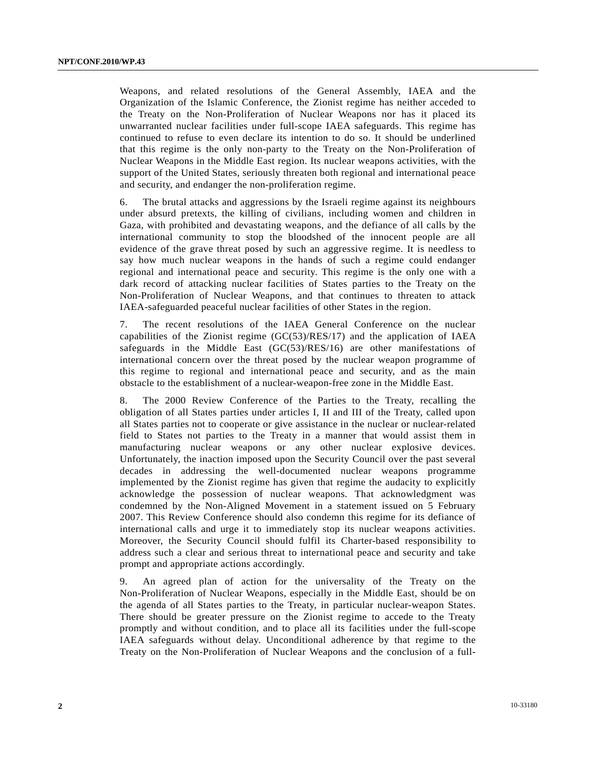Weapons, and related resolutions of the General Assembly, IAEA and the Organization of the Islamic Conference, the Zionist regime has neither acceded to the Treaty on the Non-Proliferation of Nuclear Weapons nor has it placed its unwarranted nuclear facilities under full-scope IAEA safeguards. This regime has continued to refuse to even declare its intention to do so. It should be underlined that this regime is the only non-party to the Treaty on the Non-Proliferation of Nuclear Weapons in the Middle East region. Its nuclear weapons activities, with the support of the United States, seriously threaten both regional and international peace and security, and endanger the non-proliferation regime.

6. The brutal attacks and aggressions by the Israeli regime against its neighbours under absurd pretexts, the killing of civilians, including women and children in Gaza, with prohibited and devastating weapons, and the defiance of all calls by the international community to stop the bloodshed of the innocent people are all evidence of the grave threat posed by such an aggressive regime. It is needless to say how much nuclear weapons in the hands of such a regime could endanger regional and international peace and security. This regime is the only one with a dark record of attacking nuclear facilities of States parties to the Treaty on the Non-Proliferation of Nuclear Weapons, and that continues to threaten to attack IAEA-safeguarded peaceful nuclear facilities of other States in the region.

7. The recent resolutions of the IAEA General Conference on the nuclear capabilities of the Zionist regime (GC(53)/RES/17) and the application of IAEA safeguards in the Middle East (GC(53)/RES/16) are other manifestations of international concern over the threat posed by the nuclear weapon programme of this regime to regional and international peace and security, and as the main obstacle to the establishment of a nuclear-weapon-free zone in the Middle East.

8. The 2000 Review Conference of the Parties to the Treaty, recalling the obligation of all States parties under articles I, II and III of the Treaty, called upon all States parties not to cooperate or give assistance in the nuclear or nuclear-related field to States not parties to the Treaty in a manner that would assist them in manufacturing nuclear weapons or any other nuclear explosive devices. Unfortunately, the inaction imposed upon the Security Council over the past several decades in addressing the well-documented nuclear weapons programme implemented by the Zionist regime has given that regime the audacity to explicitly acknowledge the possession of nuclear weapons. That acknowledgment was condemned by the Non-Aligned Movement in a statement issued on 5 February 2007. This Review Conference should also condemn this regime for its defiance of international calls and urge it to immediately stop its nuclear weapons activities. Moreover, the Security Council should fulfil its Charter-based responsibility to address such a clear and serious threat to international peace and security and take prompt and appropriate actions accordingly.

9. An agreed plan of action for the universality of the Treaty on the Non-Proliferation of Nuclear Weapons, especially in the Middle East, should be on the agenda of all States parties to the Treaty, in particular nuclear-weapon States. There should be greater pressure on the Zionist regime to accede to the Treaty promptly and without condition, and to place all its facilities under the full-scope IAEA safeguards without delay. Unconditional adherence by that regime to the Treaty on the Non-Proliferation of Nuclear Weapons and the conclusion of a full